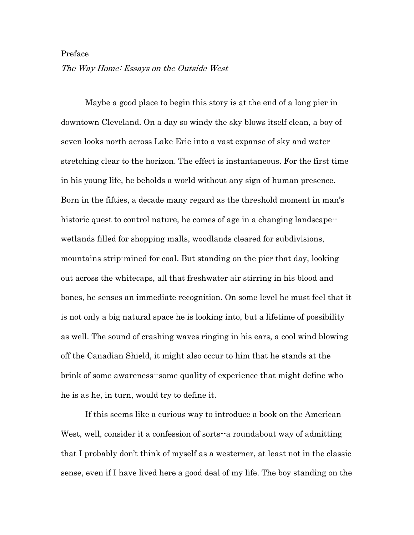## Preface

The Way Home: Essays on the Outside West

Maybe a good place to begin this story is at the end of a long pier in downtown Cleveland. On a day so windy the sky blows itself clean, a boy of seven looks north across Lake Erie into a vast expanse of sky and water stretching clear to the horizon. The effect is instantaneous. For the first time in his young life, he beholds a world without any sign of human presence. Born in the fifties, a decade many regard as the threshold moment in man's historic quest to control nature, he comes of age in a changing landscape-wetlands filled for shopping malls, woodlands cleared for subdivisions, mountains strip-mined for coal. But standing on the pier that day, looking out across the whitecaps, all that freshwater air stirring in his blood and bones, he senses an immediate recognition. On some level he must feel that it is not only a big natural space he is looking into, but a lifetime of possibility as well. The sound of crashing waves ringing in his ears, a cool wind blowing off the Canadian Shield, it might also occur to him that he stands at the brink of some awareness--some quality of experience that might define who he is as he, in turn, would try to define it.

If this seems like a curious way to introduce a book on the American West, well, consider it a confession of sorts-a roundabout way of admitting that I probably don't think of myself as a westerner, at least not in the classic sense, even if I have lived here a good deal of my life. The boy standing on the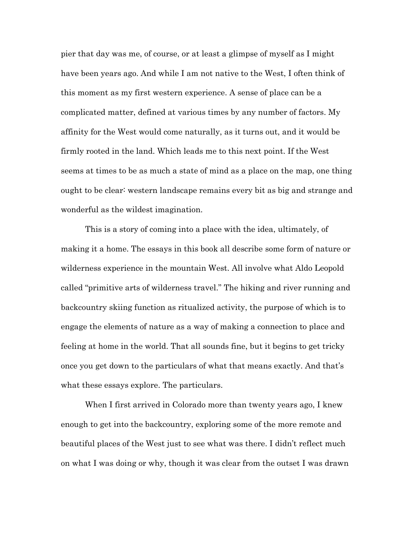pier that day was me, of course, or at least a glimpse of myself as I might have been years ago. And while I am not native to the West, I often think of this moment as my first western experience. A sense of place can be a complicated matter, defined at various times by any number of factors. My affinity for the West would come naturally, as it turns out, and it would be firmly rooted in the land. Which leads me to this next point. If the West seems at times to be as much a state of mind as a place on the map, one thing ought to be clear: western landscape remains every bit as big and strange and wonderful as the wildest imagination.

This is a story of coming into a place with the idea, ultimately, of making it a home. The essays in this book all describe some form of nature or wilderness experience in the mountain West. All involve what Aldo Leopold called "primitive arts of wilderness travel." The hiking and river running and backcountry skiing function as ritualized activity, the purpose of which is to engage the elements of nature as a way of making a connection to place and feeling at home in the world. That all sounds fine, but it begins to get tricky once you get down to the particulars of what that means exactly. And that's what these essays explore. The particulars.

When I first arrived in Colorado more than twenty years ago, I knew enough to get into the backcountry, exploring some of the more remote and beautiful places of the West just to see what was there. I didn't reflect much on what I was doing or why, though it was clear from the outset I was drawn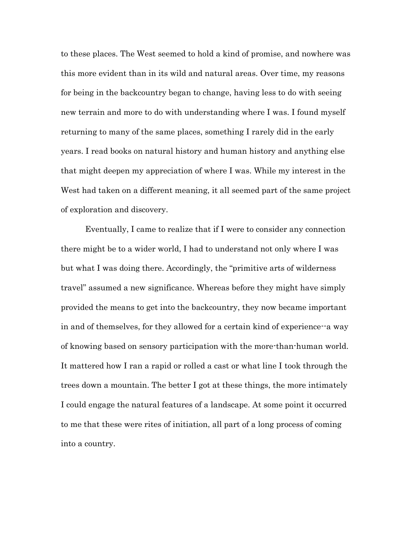to these places. The West seemed to hold a kind of promise, and nowhere was this more evident than in its wild and natural areas. Over time, my reasons for being in the backcountry began to change, having less to do with seeing new terrain and more to do with understanding where I was. I found myself returning to many of the same places, something I rarely did in the early years. I read books on natural history and human history and anything else that might deepen my appreciation of where I was. While my interest in the West had taken on a different meaning, it all seemed part of the same project of exploration and discovery.

Eventually, I came to realize that if I were to consider any connection there might be to a wider world, I had to understand not only where I was but what I was doing there. Accordingly, the "primitive arts of wilderness travel" assumed a new significance. Whereas before they might have simply provided the means to get into the backcountry, they now became important in and of themselves, for they allowed for a certain kind of experience--a way of knowing based on sensory participation with the more-than-human world. It mattered how I ran a rapid or rolled a cast or what line I took through the trees down a mountain. The better I got at these things, the more intimately I could engage the natural features of a landscape. At some point it occurred to me that these were rites of initiation, all part of a long process of coming into a country.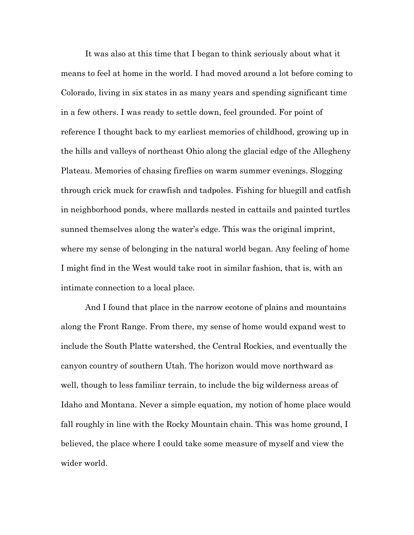It was also at this time that I began to think seriously about what it means to feel at home in the world. I had moved around a lot before coming to Colorado, living in six states in as many years and spending significant time in a few others. I was ready to settle down, feel grounded. For point of reference I thought back to my earliest memories of childhood, growing up in the hills and valleys of northeast Ohio along the glacial edge of the Allegheny Plateau. Memories of chasing fireflies on warm summer evenings. Slogging through crick muck for crawfish and tadpoles. Fishing for bluegill and catfish in neighborhood ponds, where mallards nested in cattails and painted turtles sunned themselves along the water's edge. This was the original imprint, where my sense of belonging in the natural world began. Any feeling of home I might find in the West would take root in similar fashion, that is, with an intimate connection to a local place.

And I found that place in the narrow ecotone of plains and mountains along the Front Range. From there, my sense of home would expand west to include the South Platte watershed, the Central Rockies, and eventually the canyon country of southern Utah. The horizon would move northward as well, though to less familiar terrain, to include the big wilderness areas of Idaho and Montana. Never a simple equation, my notion of home place would fall roughly in line with the Rocky Mountain chain. This was home ground, I believed, the place where I could take some measure of myself and view the wider world.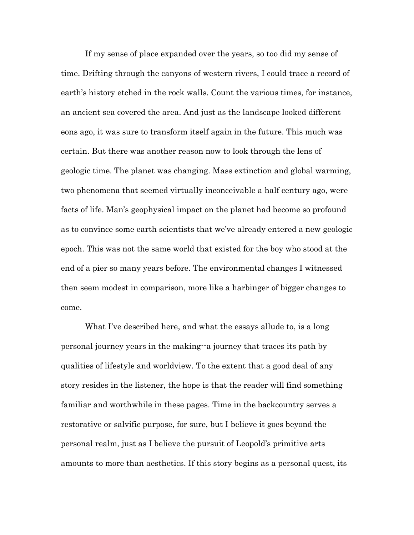If my sense of place expanded over the years, so too did my sense of time. Drifting through the canyons of western rivers, I could trace a record of earth's history etched in the rock walls. Count the various times, for instance, an ancient sea covered the area. And just as the landscape looked different eons ago, it was sure to transform itself again in the future. This much was certain. But there was another reason now to look through the lens of geologic time. The planet was changing. Mass extinction and global warming, two phenomena that seemed virtually inconceivable a half century ago, were facts of life. Man's geophysical impact on the planet had become so profound as to convince some earth scientists that we've already entered a new geologic epoch. This was not the same world that existed for the boy who stood at the end of a pier so many years before. The environmental changes I witnessed then seem modest in comparison, more like a harbinger of bigger changes to come.

What I've described here, and what the essays allude to, is a long personal journey years in the making--a journey that traces its path by qualities of lifestyle and worldview. To the extent that a good deal of any story resides in the listener, the hope is that the reader will find something familiar and worthwhile in these pages. Time in the backcountry serves a restorative or salvific purpose, for sure, but I believe it goes beyond the personal realm, just as I believe the pursuit of Leopold's primitive arts amounts to more than aesthetics. If this story begins as a personal quest, its